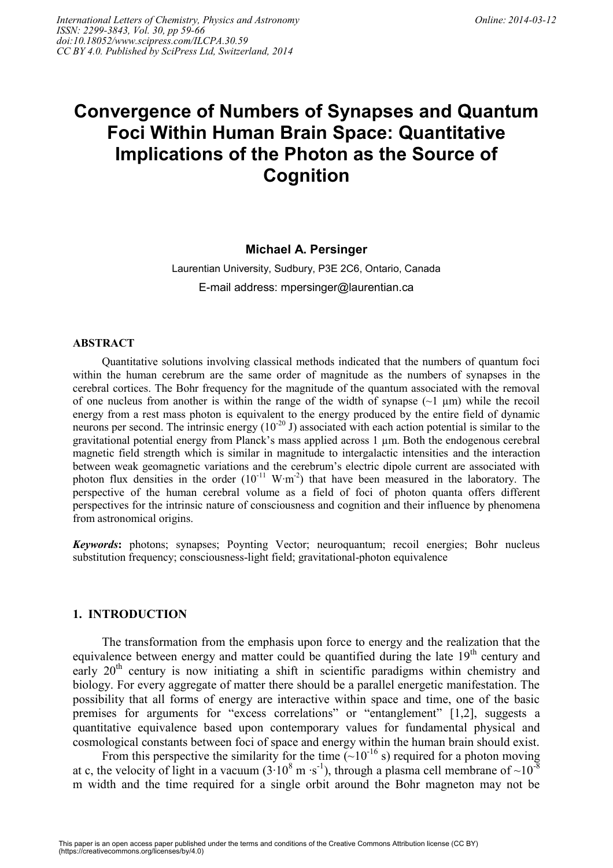# **Convergence of Numbers of Synapses and Quantum Foci Within Human Brain Space: Quantitative Implications of the Photon as the Source of Cognition**

## **Michael A. Persinger**

Laurentian University, Sudbury, P3E 2C6, Ontario, Canada E-mail address: mpersinger@laurentian.ca

#### **ABSTRACT**

Quantitative solutions involving classical methods indicated that the numbers of quantum foci within the human cerebrum are the same order of magnitude as the numbers of synapses in the cerebral cortices. The Bohr frequency for the magnitude of the quantum associated with the removal of one nucleus from another is within the range of the width of synapse  $(\sim 1 \mu m)$  while the recoil energy from a rest mass photon is equivalent to the energy produced by the entire field of dynamic neurons per second. The intrinsic energy  $(10^{-20} \text{ J})$  associated with each action potential is similar to the gravitational potential energy from Planck's mass applied across 1 µm. Both the endogenous cerebral magnetic field strength which is similar in magnitude to intergalactic intensities and the interaction between weak geomagnetic variations and the cerebrum's electric dipole current are associated with photon flux densities in the order  $(10^{-11} \text{ W}·m^{-2})$  that have been measured in the laboratory. The perspective of the human cerebral volume as a field of foci of photon quanta offers different perspectives for the intrinsic nature of consciousness and cognition and their influence by phenomena from astronomical origins.

*Keywords***:** photons; synapses; Poynting Vector; neuroquantum; recoil energies; Bohr nucleus substitution frequency; consciousness-light field; gravitational-photon equivalence

## **1. INTRODUCTION**

The transformation from the emphasis upon force to energy and the realization that the equivalence between energy and matter could be quantified during the late  $19<sup>th</sup>$  century and early  $20<sup>th</sup>$  century is now initiating a shift in scientific paradigms within chemistry and biology. For every aggregate of matter there should be a parallel energetic manifestation. The possibility that all forms of energy are interactive within space and time, one of the basic premises for arguments for "excess correlations" or "entanglement" [1,2], suggests a quantitative equivalence based upon contemporary values for fundamental physical and cosmological constants between foci of space and energy within the human brain should exist.

From this perspective the similarity for the time  $(-10^{-16} \text{ s})$  required for a photon moving at c, the velocity of light in a vacuum (3⋅10<sup>8</sup> m ⋅s<sup>-1</sup>), through a plasma cell membrane of ~10<sup>-8</sup> m width and the time required for a single orbit around the Bohr magneton may not be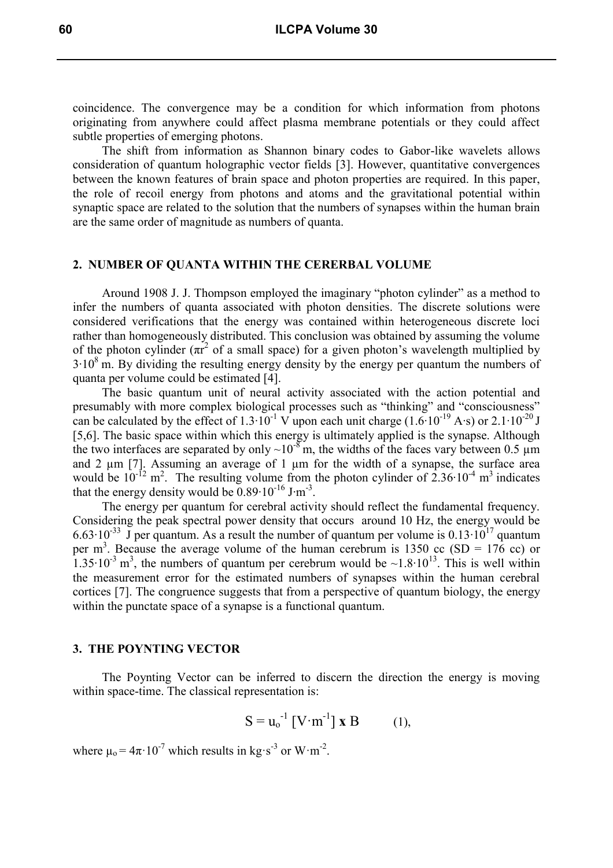coincidence. The convergence may be a condition for which information from photons originating from anywhere could affect plasma membrane potentials or they could affect subtle properties of emerging photons.

The shift from information as Shannon binary codes to Gabor-like wavelets allows consideration of quantum holographic vector fields [3]. However, quantitative convergences between the known features of brain space and photon properties are required. In this paper, the role of recoil energy from photons and atoms and the gravitational potential within synaptic space are related to the solution that the numbers of synapses within the human brain are the same order of magnitude as numbers of quanta.

## **2. NUMBER OF QUANTA WITHIN THE CERERBAL VOLUME**

Around 1908 J. J. Thompson employed the imaginary "photon cylinder" as a method to infer the numbers of quanta associated with photon densities. The discrete solutions were considered verifications that the energy was contained within heterogeneous discrete loci rather than homogeneously distributed. This conclusion was obtained by assuming the volume of the photon cylinder  $(\pi r^2)$  of a small space) for a given photon's wavelength multiplied by  $3·10<sup>8</sup>$  m. By dividing the resulting energy density by the energy per quantum the numbers of quanta per volume could be estimated [4].

The basic quantum unit of neural activity associated with the action potential and presumably with more complex biological processes such as "thinking" and "consciousness" can be calculated by the effect of 1.3⋅10<sup>-1</sup> V upon each unit charge (1.6⋅10<sup>-19</sup> A⋅s) or 2.1⋅10<sup>-20</sup> J [5,6]. The basic space within which this energy is ultimately applied is the synapse. Although the two interfaces are separated by only  $\sim 10^{-8}$  m, the widths of the faces vary between 0.5 µm and 2  $\mu$ m [7]. Assuming an average of 1  $\mu$ m for the width of a synapse, the surface area would be  $10^{-12}$  m<sup>2</sup>. The resulting volume from the photon cylinder of 2.36⋅10<sup>-4</sup> m<sup>3</sup> indicates that the energy density would be  $0.89 \cdot 10^{-16}$  J⋅m<sup>-3</sup>.

The energy per quantum for cerebral activity should reflect the fundamental frequency. Considering the peak spectral power density that occurs around 10 Hz, the energy would be 6.63⋅10<sup>-33</sup> J per quantum. As a result the number of quantum per volume is 0.13⋅10<sup>17</sup> quantum per m<sup>3</sup>. Because the average volume of the human cerebrum is 1350 cc (SD = 176 cc) or  $1.35 \cdot 10^{-3}$  m<sup>3</sup>, the numbers of quantum per cerebrum would be ~1.8 $\cdot 10^{13}$ . This is well within the measurement error for the estimated numbers of synapses within the human cerebral cortices [7]. The congruence suggests that from a perspective of quantum biology, the energy within the punctate space of a synapse is a functional quantum.

### **3. THE POYNTING VECTOR**

The Poynting Vector can be inferred to discern the direction the energy is moving within space-time. The classical representation is:

$$
S = u_0^{-1} [V \cdot m^{-1}] \mathbf{X} B \qquad (1),
$$

where  $\mu_0 = 4\pi \cdot 10^{-7}$  which results in kg·s<sup>-3</sup> or W·m<sup>-2</sup>.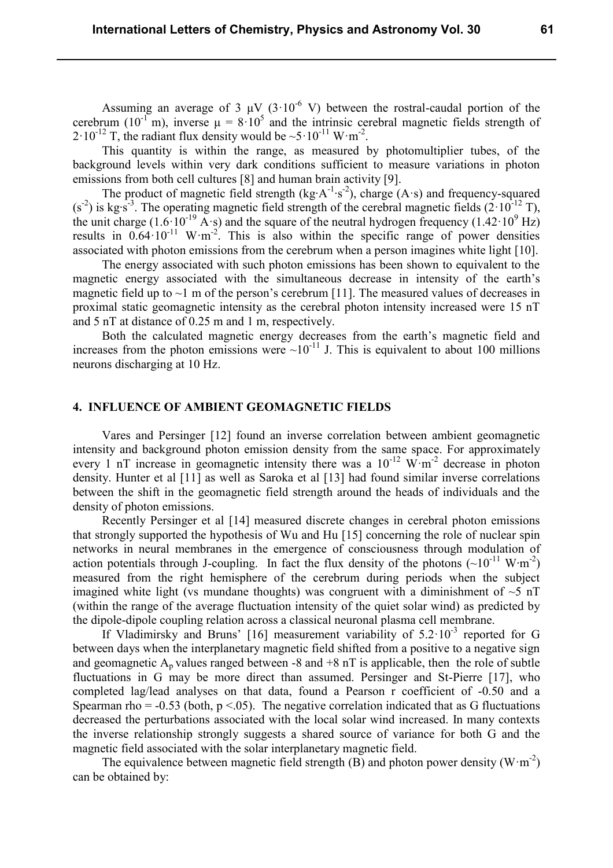Assuming an average of 3  $\mu$ V (3·10<sup>-6</sup> V) between the rostral-caudal portion of the cerebrum (10<sup>-1</sup> m), inverse  $\mu = 8.10^5$  and the intrinsic cerebral magnetic fields strength of 2·10<sup>-12</sup> T, the radiant flux density would be  $\sim 5 \cdot 10^{-11}$  W·m<sup>-2</sup>.

This quantity is within the range, as measured by photomultiplier tubes, of the background levels within very dark conditions sufficient to measure variations in photon emissions from both cell cultures [8] and human brain activity [9].

The product of magnetic field strength (kg⋅A<sup>-1</sup>⋅s<sup>-2</sup>), charge (A⋅s) and frequency-squared  $(s<sup>-2</sup>)$  is kg⋅s<sup>-3</sup>. The operating magnetic field strength of the cerebral magnetic fields (2·10<sup>-12</sup> T), the unit charge  $(1.6 \cdot 10^{-19} \text{ A} \cdot \text{s})$  and the square of the neutral hydrogen frequency  $(1.42 \cdot 10^9 \text{ Hz})$ results in  $0.64 \cdot 10^{-11}$  W·m<sup>-2</sup>. This is also within the specific range of power densities associated with photon emissions from the cerebrum when a person imagines white light [10].

The energy associated with such photon emissions has been shown to equivalent to the magnetic energy associated with the simultaneous decrease in intensity of the earth's magnetic field up to  $\sim$ 1 m of the person's cerebrum [11]. The measured values of decreases in proximal static geomagnetic intensity as the cerebral photon intensity increased were 15 nT and 5 nT at distance of 0.25 m and 1 m, respectively.

Both the calculated magnetic energy decreases from the earth's magnetic field and increases from the photon emissions were  $\sim 10^{-11}$  J. This is equivalent to about 100 millions neurons discharging at 10 Hz.

#### **4. INFLUENCE OF AMBIENT GEOMAGNETIC FIELDS**

Vares and Persinger [12] found an inverse correlation between ambient geomagnetic intensity and background photon emission density from the same space. For approximately every 1 nT increase in geomagnetic intensity there was a  $10^{-12}$  W·m<sup>-2</sup> decrease in photon density. Hunter et al [11] as well as Saroka et al [13] had found similar inverse correlations between the shift in the geomagnetic field strength around the heads of individuals and the density of photon emissions.

Recently Persinger et al [14] measured discrete changes in cerebral photon emissions that strongly supported the hypothesis of Wu and Hu [15] concerning the role of nuclear spin networks in neural membranes in the emergence of consciousness through modulation of action potentials through J-coupling. In fact the flux density of the photons  $({\sim}10^{-11} \text{ W} \cdot \text{m}^{-2})$ measured from the right hemisphere of the cerebrum during periods when the subject imagined white light (vs mundane thoughts) was congruent with a diminishment of  $\sim$ 5 nT (within the range of the average fluctuation intensity of the quiet solar wind) as predicted by the dipole-dipole coupling relation across a classical neuronal plasma cell membrane.

If Vladimirsky and Bruns' [16] measurement variability of  $5.2 \cdot 10^{-3}$  reported for G between days when the interplanetary magnetic field shifted from a positive to a negative sign and geomagnetic  $A_p$  values ranged between -8 and +8 nT is applicable, then the role of subtle fluctuations in G may be more direct than assumed. Persinger and St-Pierre [17], who completed lag/lead analyses on that data, found a Pearson r coefficient of -0.50 and a Spearman rho =  $-0.53$  (both,  $p < 0.05$ ). The negative correlation indicated that as G fluctuations decreased the perturbations associated with the local solar wind increased. In many contexts the inverse relationship strongly suggests a shared source of variance for both G and the magnetic field associated with the solar interplanetary magnetic field.

The equivalence between magnetic field strength (B) and photon power density  $(W \cdot m^{-2})$ can be obtained by: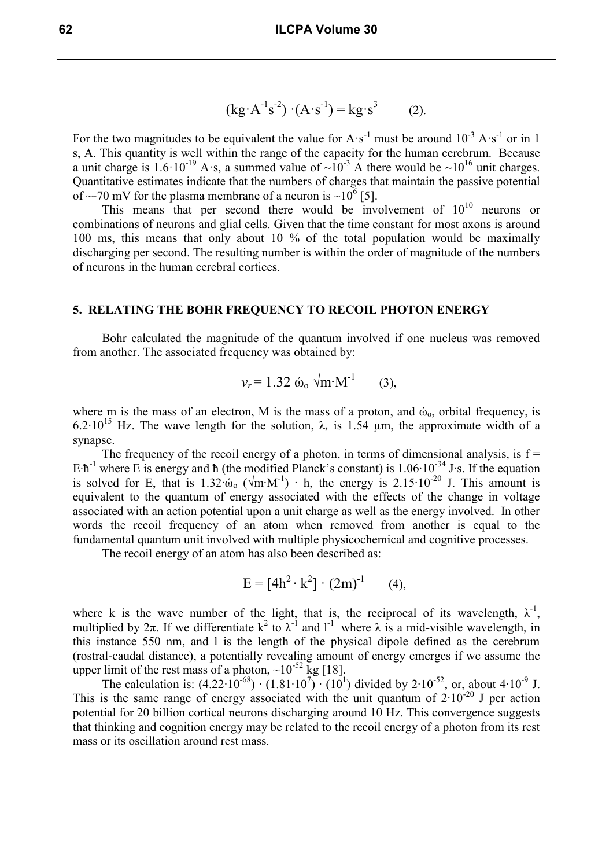$$
(kg \cdot A^{-1} s^{-2}) \cdot (A \cdot s^{-1}) = kg \cdot s^{3}
$$
 (2).

For the two magnitudes to be equivalent the value for  $A \cdot s^{-1}$  must be around  $10^{-3} A \cdot s^{-1}$  or in 1 s, A. This quantity is well within the range of the capacity for the human cerebrum. Because a unit charge is 1.6·10<sup>-19</sup> A·s, a summed value of  $\sim 10^{-3}$  A there would be  $\sim 10^{16}$  unit charges. Quantitative estimates indicate that the numbers of charges that maintain the passive potential of ~-70 mV for the plasma membrane of a neuron is ~10<sup>6</sup> [5].

This means that per second there would be involvement of  $10^{10}$  neurons or combinations of neurons and glial cells. Given that the time constant for most axons is around 100 ms, this means that only about 10 % of the total population would be maximally discharging per second. The resulting number is within the order of magnitude of the numbers of neurons in the human cerebral cortices.

## **5. RELATING THE BOHR FREQUENCY TO RECOIL PHOTON ENERGY**

Bohr calculated the magnitude of the quantum involved if one nucleus was removed from another. The associated frequency was obtained by:

$$
v_r = 1.32 \omega_0 \sqrt{m M^2}
$$
 (3),

where m is the mass of an electron, M is the mass of a proton, and  $\dot{\omega}_0$ , orbital frequency, is 6.2⋅10<sup>15</sup> Hz. The wave length for the solution,  $\lambda_r$  is 1.54 µm, the approximate width of a synapse.

The frequency of the recoil energy of a photon, in terms of dimensional analysis, is  $f =$ E⋅ħ<sup>-1</sup> where E is energy and ħ (the modified Planck's constant) is  $1.06 \cdot 10^{-34}$  J⋅s. If the equation is solved for E, that is 1.32⋅ώ<sub>o</sub> (√m⋅M<sup>-1</sup>) ⋅ h, the energy is 2.15⋅10<sup>-20</sup> J. This amount is equivalent to the quantum of energy associated with the effects of the change in voltage associated with an action potential upon a unit charge as well as the energy involved. In other words the recoil frequency of an atom when removed from another is equal to the fundamental quantum unit involved with multiple physicochemical and cognitive processes.

The recoil energy of an atom has also been described as:

$$
E = [4h2 \cdot k2] \cdot (2m)-1 \qquad (4),
$$

where k is the wave number of the light, that is, the reciprocal of its wavelength,  $\lambda^{-1}$ , multiplied by  $2\pi$ . If we differentiate  $k^2$  to  $\lambda^{-1}$  and  $l^{-1}$  where  $\lambda$  is a mid-visible wavelength, in this instance 550 nm, and l is the length of the physical dipole defined as the cerebrum (rostral-caudal distance), a potentially revealing amount of energy emerges if we assume the upper limit of the rest mass of a photon,  $\sim 10^{-52}$  kg [18].

The calculation is:  $(4.22 \cdot 10^{-68}) \cdot (1.81 \cdot 10^{7}) \cdot (10^{1})$  divided by  $2 \cdot 10^{-52}$ , or, about  $4 \cdot 10^{-9}$  J. This is the same range of energy associated with the unit quantum of  $2 \cdot 10^{-20}$  J per action potential for 20 billion cortical neurons discharging around 10 Hz. This convergence suggests that thinking and cognition energy may be related to the recoil energy of a photon from its rest mass or its oscillation around rest mass.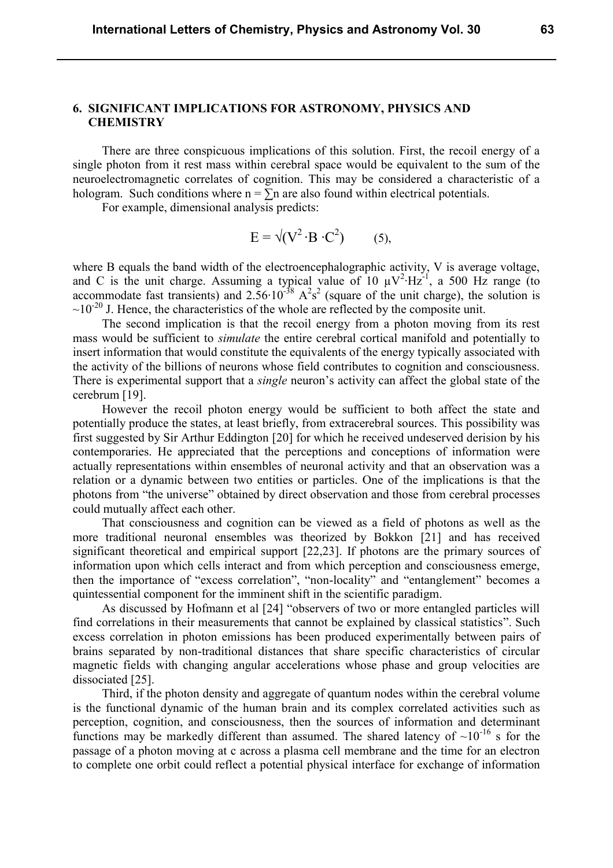## **6. SIGNIFICANT IMPLICATIONS FOR ASTRONOMY, PHYSICS AND CHEMISTRY**

There are three conspicuous implications of this solution. First, the recoil energy of a single photon from it rest mass within cerebral space would be equivalent to the sum of the neuroelectromagnetic correlates of cognition. This may be considered a characteristic of a hologram. Such conditions where  $n = \sum n$  are also found within electrical potentials.

For example, dimensional analysis predicts:

$$
E = \sqrt{(V^2 \cdot B \cdot C^2)}
$$
 (5),

where B equals the band width of the electroencephalographic activity, V is average voltage, and C is the unit charge. Assuming a typical value of 10  $\mu$ V<sup>2</sup>⋅Hz<sup>-1</sup>, a 500 Hz range (to accommodate fast transients) and  $2.56 \cdot 10^{-38}$   $A^2s^2$  (square of the unit charge), the solution is  $\sim$ 10<sup>-20</sup> J. Hence, the characteristics of the whole are reflected by the composite unit.

The second implication is that the recoil energy from a photon moving from its rest mass would be sufficient to *simulate* the entire cerebral cortical manifold and potentially to insert information that would constitute the equivalents of the energy typically associated with the activity of the billions of neurons whose field contributes to cognition and consciousness. There is experimental support that a *single* neuron's activity can affect the global state of the cerebrum [19].

However the recoil photon energy would be sufficient to both affect the state and potentially produce the states, at least briefly, from extracerebral sources. This possibility was first suggested by Sir Arthur Eddington [20] for which he received undeserved derision by his contemporaries. He appreciated that the perceptions and conceptions of information were actually representations within ensembles of neuronal activity and that an observation was a relation or a dynamic between two entities or particles. One of the implications is that the photons from "the universe" obtained by direct observation and those from cerebral processes could mutually affect each other.

That consciousness and cognition can be viewed as a field of photons as well as the more traditional neuronal ensembles was theorized by Bokkon [21] and has received significant theoretical and empirical support [22,23]. If photons are the primary sources of information upon which cells interact and from which perception and consciousness emerge, then the importance of "excess correlation", "non-locality" and "entanglement" becomes a quintessential component for the imminent shift in the scientific paradigm.

As discussed by Hofmann et al [24] "observers of two or more entangled particles will find correlations in their measurements that cannot be explained by classical statistics". Such excess correlation in photon emissions has been produced experimentally between pairs of brains separated by non-traditional distances that share specific characteristics of circular magnetic fields with changing angular accelerations whose phase and group velocities are dissociated [25].

Third, if the photon density and aggregate of quantum nodes within the cerebral volume is the functional dynamic of the human brain and its complex correlated activities such as perception, cognition, and consciousness, then the sources of information and determinant functions may be markedly different than assumed. The shared latency of  $\sim 10^{-16}$  s for the passage of a photon moving at c across a plasma cell membrane and the time for an electron to complete one orbit could reflect a potential physical interface for exchange of information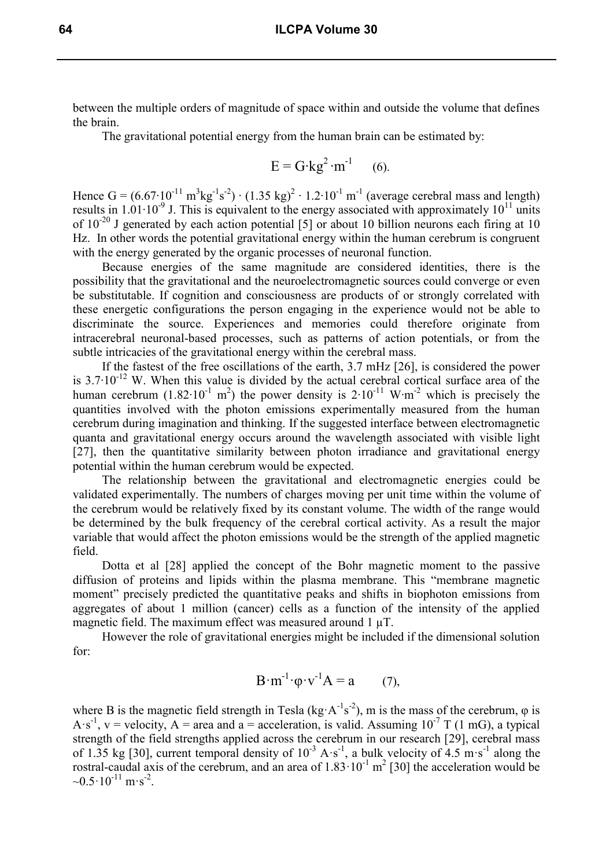between the multiple orders of magnitude of space within and outside the volume that defines the brain.

The gravitational potential energy from the human brain can be estimated by:

$$
E = G \cdot kg^2 \cdot m^{-1}
$$
 (6).

Hence  $G = (6.67 \cdot 10^{-11} \text{ m}^3 \text{kg}^{-1} \text{s}^{-2}) \cdot (1.35 \text{ kg})^2 \cdot 1.2 \cdot 10^{-1} \text{ m}^{-1}$  (average cerebral mass and length) results in  $1.01 \cdot 10^{-9}$  J. This is equivalent to the energy associated with approximately  $10^{11}$  units of 10<sup>-20</sup> J generated by each action potential [5] or about 10 billion neurons each firing at 10 Hz. In other words the potential gravitational energy within the human cerebrum is congruent with the energy generated by the organic processes of neuronal function.

Because energies of the same magnitude are considered identities, there is the possibility that the gravitational and the neuroelectromagnetic sources could converge or even be substitutable. If cognition and consciousness are products of or strongly correlated with these energetic configurations the person engaging in the experience would not be able to discriminate the source. Experiences and memories could therefore originate from intracerebral neuronal-based processes, such as patterns of action potentials, or from the subtle intricacies of the gravitational energy within the cerebral mass.

If the fastest of the free oscillations of the earth, 3.7 mHz [26], is considered the power is 3.7⋅10<sup>-12</sup> W. When this value is divided by the actual cerebral cortical surface area of the human cerebrum (1.82⋅10<sup>-1</sup> m<sup>2</sup>) the power density is 2⋅10<sup>-11</sup> W⋅m<sup>-2</sup> which is precisely the quantities involved with the photon emissions experimentally measured from the human cerebrum during imagination and thinking. If the suggested interface between electromagnetic quanta and gravitational energy occurs around the wavelength associated with visible light [27], then the quantitative similarity between photon irradiance and gravitational energy potential within the human cerebrum would be expected.

The relationship between the gravitational and electromagnetic energies could be validated experimentally. The numbers of charges moving per unit time within the volume of the cerebrum would be relatively fixed by its constant volume. The width of the range would be determined by the bulk frequency of the cerebral cortical activity. As a result the major variable that would affect the photon emissions would be the strength of the applied magnetic field.

Dotta et al [28] applied the concept of the Bohr magnetic moment to the passive diffusion of proteins and lipids within the plasma membrane. This "membrane magnetic moment" precisely predicted the quantitative peaks and shifts in biophoton emissions from aggregates of about 1 million (cancer) cells as a function of the intensity of the applied magnetic field. The maximum effect was measured around 1  $\mu$ T.

However the role of gravitational energies might be included if the dimensional solution for:

$$
B \cdot m^{-1} \cdot \varphi \cdot v^{-1} A = a \qquad (7),
$$

where B is the magnetic field strength in Tesla (kg·A<sup>-1</sup>s<sup>-2</sup>), m is the mass of the cerebrum,  $\varphi$  is A  $\ s^{-1}$ , v = velocity, A = area and a = acceleration, is valid. Assuming 10<sup>-7</sup> T (1 mG), a typical strength of the field strengths applied across the cerebrum in our research [29], cerebral mass of 1.35 kg [30], current temporal density of  $10^{-3}$  A·s<sup>-1</sup>, a bulk velocity of  $4.5 \text{ m} \cdot \text{s}^{-1}$  along the rostral-caudal axis of the cerebrum, and an area of  $1.83 \cdot 10^{-1}$  m<sup>2</sup> [30] the acceleration would be  $\sim 0.5 \cdot 10^{-11} \text{ m} \cdot \text{s}^{-2}$ .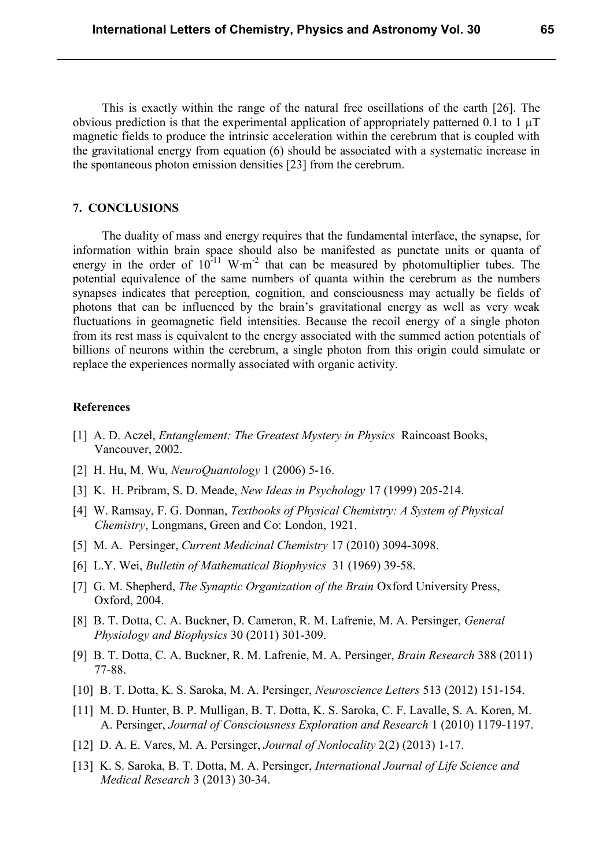This is exactly within the range of the natural free oscillations of the earth [26]. The obvious prediction is that the experimental application of appropriately patterned 0.1 to 1  $\mu$ T magnetic fields to produce the intrinsic acceleration within the cerebrum that is coupled with the gravitational energy from equation (6) should be associated with a systematic increase in the spontaneous photon emission densities [23] from the cerebrum.

### **7. CONCLUSIONS**

The duality of mass and energy requires that the fundamental interface, the synapse, for information within brain space should also be manifested as punctate units or quanta of energy in the order of  $10^{-11}$  W⋅m<sup>-2</sup> that can be measured by photomultiplier tubes. The potential equivalence of the same numbers of quanta within the cerebrum as the numbers synapses indicates that perception, cognition, and consciousness may actually be fields of photons that can be influenced by the brain's gravitational energy as well as very weak fluctuations in geomagnetic field intensities. Because the recoil energy of a single photon from its rest mass is equivalent to the energy associated with the summed action potentials of billions of neurons within the cerebrum, a single photon from this origin could simulate or replace the experiences normally associated with organic activity.

#### **References**

- [1] A. D. Aczel, *Entanglement: The Greatest Mystery in Physics* Raincoast Books, Vancouver, 2002.
- [2] H. Hu, M. Wu, *NeuroQuantology* 1 (2006) 5-16.
- [3] K. H. Pribram, S. D. Meade, *New Ideas in Psychology* 17 (1999) 205-214.
- [4] W. Ramsay, F. G. Donnan, *Textbooks of Physical Chemistry: A System of Physical Chemistry*, Longmans, Green and Co: London, 1921.
- [5] M. A. Persinger, *Current Medicinal Chemistry* 17 (2010) 3094-3098.
- [6] L.Y. Wei, *Bulletin of Mathematical Biophysics* 31 (1969) 39-58.
- [7] G. M. Shepherd, *The Synaptic Organization of the Brain* Oxford University Press, Oxford, 2004.
- [8] B. T. Dotta, C. A. Buckner, D. Cameron, R. M. Lafrenie, M. A. Persinger, *General Physiology and Biophysics* 30 (2011) 301-309.
- [9] B. T. Dotta, C. A. Buckner, R. M. Lafrenie, M. A. Persinger, *Brain Research* 388 (2011) 77-88.
- [10] B. T. Dotta, K. S. Saroka, M. A. Persinger, *Neuroscience Letters* 513 (2012) 151-154.
- [11] M. D. Hunter, B. P. Mulligan, B. T. Dotta, K. S. Saroka, C. F. Lavalle, S. A. Koren, M. A. Persinger, *Journal of Consciousness Exploration and Research* 1 (2010) 1179-1197.
- [12] D. A. E. Vares, M. A. Persinger, *Journal of Nonlocality* 2(2) (2013) 1-17.
- [13] K. S. Saroka, B. T. Dotta, M. A. Persinger, *International Journal of Life Science and Medical Research* 3 (2013) 30-34.